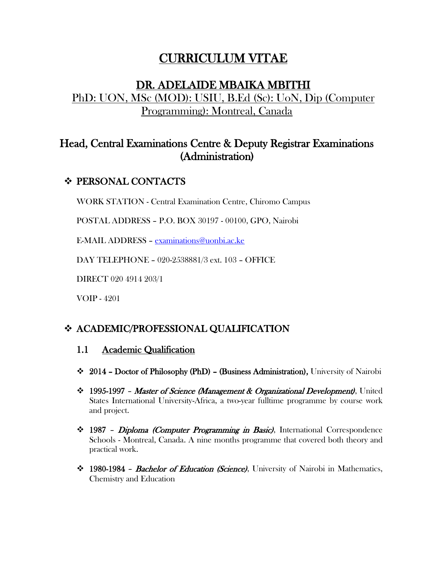# CURRICULUM VITAE

## DR. ADELAIDE MBAIKA MBITHI PhD: UON, MSc (MOD): USIU, B.Ed (Sc): UoN, Dip (Computer Programming): Montreal, Canada

## Head, Central Examinations Centre & Deputy Registrar Examinations (Administration)

## **❖ PERSONAL CONTACTS**

WORK STATION - Central Examination Centre, Chiromo Campus

POSTAL ADDRESS – P.O. BOX 30197 - 00100, GPO, Nairobi

E-MAIL ADDRESS – [examinations@uonbi.ac.ke](mailto:examinations@uonbi.ac.ke)

DAY TELEPHONE – 020-2538881/3 ext. 103 – OFFICE

DIRECT 020 4914 203/1

VOIP - 4201

## ACADEMIC/PROFESSIONAL QUALIFICATION

#### 1.1 Academic Qualification

- 2014 Doctor of Philosophy (PhD) (Business Administration), University of Nairobi
- $\div$  1995-1997 Master of Science (Management & Organizational Development), United States International University-Africa, a two-year fulltime programme by course work and project.
- 1987 Diploma (Computer Programming in Basic), International Correspondence Schools - Montreal, Canada. A nine months programme that covered both theory and practical work.
- 1980-1984 Bachelor of Education (Science), University of Nairobi in Mathematics, Chemistry and Education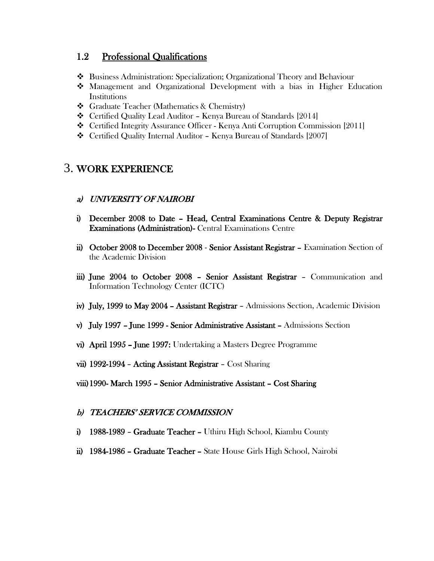#### 1.2 Professional Qualifications

- Business Administration: Specialization; Organizational Theory and Behaviour
- Management and Organizational Development with a bias in Higher Education **Institutions**
- Graduate Teacher (Mathematics & Chemistry)
- Certified Quality Lead Auditor Kenya Bureau of Standards [2014]
- Certified Integrity Assurance Officer Kenya Anti Corruption Commission [2011]
- Certified Quality Internal Auditor Kenya Bureau of Standards [2007]

## 3. WORK EXPERIENCE

#### a) UNIVERSITY OF NAIROBI

- i) December 2008 to Date Head, Central Examinations Centre & Deputy Registrar Examinations (Administration)- Central Examinations Centre
- ii) October 2008 to December 2008 Senior Assistant Registrar Examination Section of the Academic Division
- iii) June 2004 to October 2008 Senior Assistant Registrar Communication and Information Technology Center (ICTC)
- iv) July, 1999 to May 2004 Assistant Registrar Admissions Section, Academic Division
- v) July 1997 June 1999 Senior Administrative Assistant Admissions Section
- vi) April 1995 June 1997: Undertaking a Masters Degree Programme
- vii) 1992-1994 Acting Assistant Registrar Cost Sharing
- viii)1990- March 1995 Senior Administrative Assistant Cost Sharing

#### b) TEACHERS' SERVICE COMMISSION

- i) 1988-1989 Graduate Teacher Uthiru High School, Kiambu County
- ii) 1984-1986 Graduate Teacher State House Girls High School, Nairobi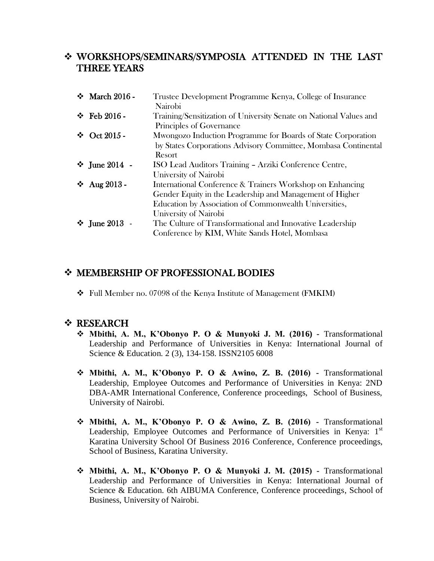### WORKSHOPS/SEMINARS/SYMPOSIA ATTENDED IN THE LAST THREE YEARS

|  | ❖ March 2016 -                       | Trustee Development Programme Kenya, College of Insurance          |
|--|--------------------------------------|--------------------------------------------------------------------|
|  |                                      | Nairobi                                                            |
|  | $\div$ Feb 2016 -                    | Training/Sensitization of University Senate on National Values and |
|  |                                      | Principles of Governance                                           |
|  | $\div$ Oct 2015 -                    | Mwongozo Induction Programme for Boards of State Corporation       |
|  |                                      | by States Corporations Advisory Committee, Mombasa Continental     |
|  |                                      | Resort                                                             |
|  | $\div$ June 2014 -                   | ISO Lead Auditors Training - Arziki Conference Centre,             |
|  |                                      | University of Nairobi                                              |
|  | $\div$ Aug 2013 -                    | International Conference & Trainers Workshop on Enhancing          |
|  |                                      | Gender Equity in the Leadership and Management of Higher           |
|  |                                      | Education by Association of Commonwealth Universities,             |
|  |                                      | University of Nairobi                                              |
|  | <b><math>\div</math></b> June 2013 - | The Culture of Transformational and Innovative Leadership          |
|  |                                      | Conference by KIM, White Sands Hotel, Mombasa                      |
|  |                                      |                                                                    |

### MEMBERSHIP OF PROFESSIONAL BODIES

Full Member no. 07098 of the Kenya Institute of Management (FMKIM)

#### **❖ RESEARCH**

- **Mbithi, A. M., K'Obonyo P. O & Munyoki J. M. (2016) -** Transformational Leadership and Performance of Universities in Kenya: International Journal of Science & Education. 2 (3), 134-158. ISSN2105 6008
- **Mbithi, A. M., K'Obonyo P. O & Awino, Z. B. (2016) -** Transformational Leadership, Employee Outcomes and Performance of Universities in Kenya: 2ND DBA-AMR International Conference, Conference proceedings, School of Business, University of Nairobi.
- **Mbithi, A. M., K'Obonyo P. O & Awino, Z. B. (2016) -** Transformational Leadership, Employee Outcomes and Performance of Universities in Kenya: 1<sup>st</sup> Karatina University School Of Business 2016 Conference, Conference proceedings, School of Business, Karatina University.
- **Mbithi, A. M., K'Obonyo P. O & Munyoki J. M. (2015) -** Transformational Leadership and Performance of Universities in Kenya: International Journal of Science & Education. 6th AIBUMA Conference, Conference proceedings, School of Business, University of Nairobi.